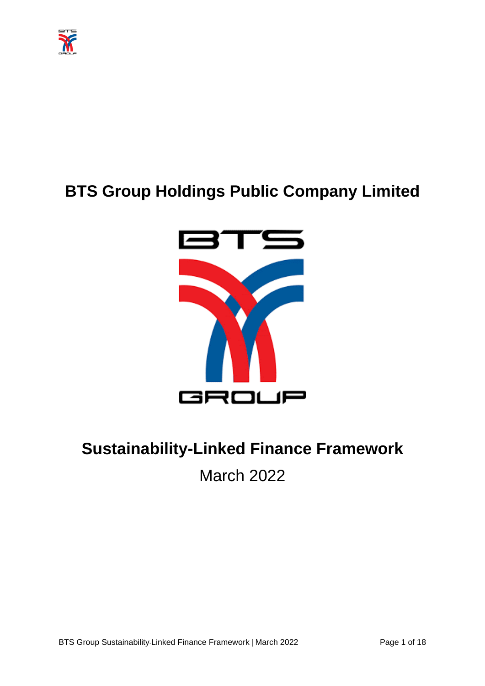

# **BTS Group Holdings Public Company Limited**



# **Sustainability-Linked Finance Framework** March 2022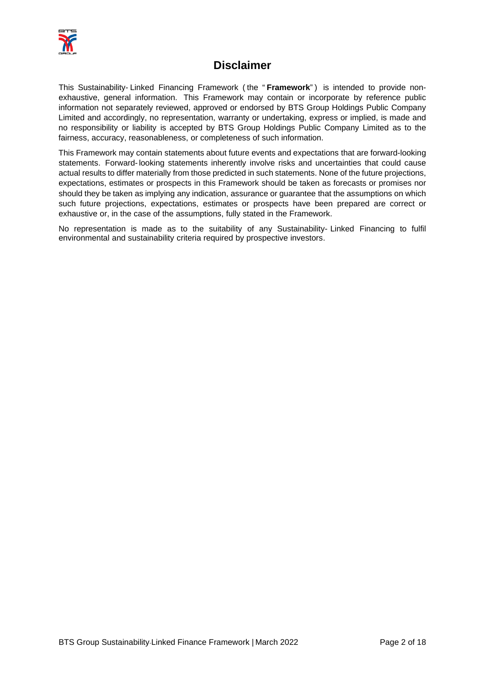

# **Disclaimer**

This Sustainability- Linked Financing Framework ( the " **Framework**") is intended to provide nonexhaustive, general information. This Framework may contain or incorporate by reference public information not separately reviewed, approved or endorsed by BTS Group Holdings Public Company Limited and accordingly, no representation, warranty or undertaking, express or implied, is made and no responsibility or liability is accepted by BTS Group Holdings Public Company Limited as to the fairness, accuracy, reasonableness, or completeness of such information.

This Framework may contain statements about future events and expectations that are forward-looking statements. Forward-looking statements inherently involve risks and uncertainties that could cause actual results to differ materially from those predicted in such statements. None of the future projections, expectations, estimates or prospects in this Framework should be taken as forecasts or promises nor should they be taken as implying any indication, assurance or guarantee that the assumptions on which such future projections, expectations, estimates or prospects have been prepared are correct or exhaustive or, in the case of the assumptions, fully stated in the Framework.

No representation is made as to the suitability of any Sustainability- Linked Financing to fulfil environmental and sustainability criteria required by prospective investors.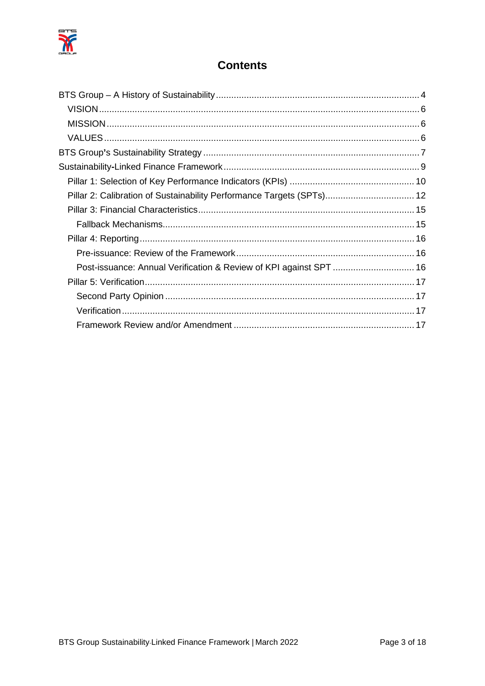

# **Contents**

| Pillar 2: Calibration of Sustainability Performance Targets (SPTs) 12 |
|-----------------------------------------------------------------------|
|                                                                       |
|                                                                       |
|                                                                       |
|                                                                       |
| Post-issuance: Annual Verification & Review of KPI against SPT  16    |
|                                                                       |
|                                                                       |
|                                                                       |
|                                                                       |
|                                                                       |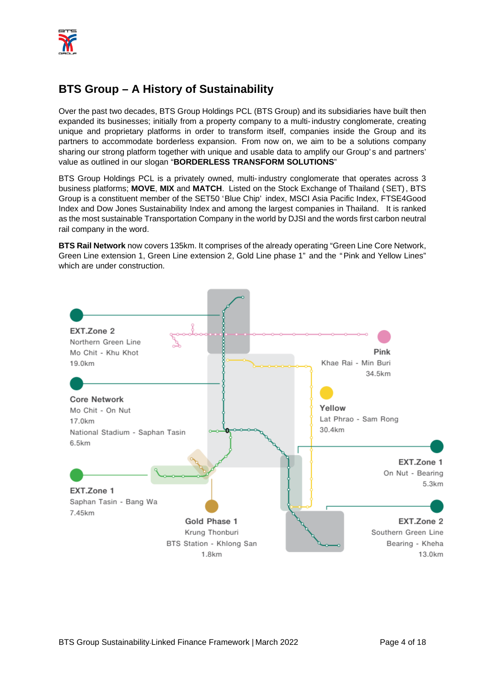

# <span id="page-3-0"></span>**BTS Group – A History of Sustainability**

Over the past two decades, BTS Group Holdings PCL (BTS Group) and its subsidiaries have built then expanded its businesses; initially from a property company to a multi-industry conglomerate, creating unique and proprietary platforms in order to transform itself, companies inside the Group and its partners to accommodate borderless expansion. From now on, we aim to be a solutions company sharing our strong platform together with unique and usable data to amplify our Group's and partners' value as outlined in our slogan "**BORDERLESS TRANSFORM SOLUTIONS**"

BTS Group Holdings PCL is a privately owned, multi-industry conglomerate that operates across 3 business platforms; **MOVE**, **MIX** and **MATCH**. Listed on the Stock Exchange of Thailand (SET), BTS Group is a constituent member of the SET50 'Blue Chip' index, MSCI Asia Pacific Index, FTSE4Good Index and Dow Jones Sustainability Index and among the largest companies in Thailand. It is ranked as the most sustainable Transportation Company in the world by DJSI and the words first carbon neutral rail company in the word.

**BTS Rail Network** now covers 135km. It comprises of the already operating "Green Line Core Network, Green Line extension 1, Green Line extension 2, Gold Line phase 1" and the "Pink and Yellow Lines" which are under construction.

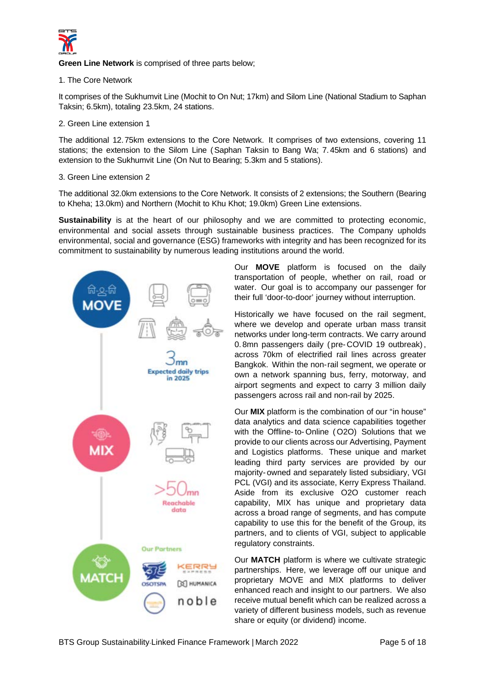

**Green Line Network** is comprised of three parts below;

1. The Core Network

It comprises of the Sukhumvit Line (Mochit to On Nut; 17km) and Silom Line (National Stadium to Saphan Taksin; 6.5km), totaling 23.5km, 24 stations.

2. Green Line extension 1

The additional 12.75km extensions to the Core Network. It comprises of two extensions, covering 11 stations; the extension to the Silom Line (Saphan Taksin to Bang Wa; 7. 45km and 6 stations) and extension to the Sukhumvit Line (On Nut to Bearing; 5.3km and 5 stations).

3. Green Line extension 2

The additional 32.0km extensions to the Core Network. It consists of 2 extensions; the Southern (Bearing to Kheha; 13.0km) and Northern (Mochit to Khu Khot; 19.0km) Green Line extensions.

**Sustainability** is at the heart of our philosophy and we are committed to protecting economic, environmental and social assets through sustainable business practices. The Company upholds environmental, social and governance (ESG) frameworks with integrity and has been recognized for its commitment to sustainability by numerous leading institutions around the world.



Our **MOVE** platform is focused on the daily transportation of people, whether on rail, road or water. Our goal is to accompany our passenger for their full 'door-to-door' journey without interruption.

Historically we have focused on the rail segment, where we develop and operate urban mass transit networks under long-term contracts. We carry around 0. 8mn passengers daily ( pre- COVID 19 outbreak), across 70km of electrified rail lines across greater Bangkok. Within the non-rail segment, we operate or own a network spanning bus, ferry, motorway, and airport segments and expect to carry 3 million daily passengers across rail and non-rail by 2025.

Our **MIX** platform is the combination of our "in house" data analytics and data science capabilities together with the Offline-to- Online ( O2O) Solutions that we provide to our clients across our Advertising, Payment and Logistics platforms. These unique and market leading third party services are provided by our majority- owned and separately listed subsidiary, VGI PCL (VGI) and its associate, Kerry Express Thailand. Aside from its exclusive O2O customer reach capability, MIX has unique and proprietary data across a broad range of segments, and has compute capability to use this for the benefit of the Group, its partners, and to clients of VGI, subject to applicable regulatory constraints.

Our **MATCH** platform is where we cultivate strategic partnerships. Here, we leverage off our unique and proprietary MOVE and MIX platforms to deliver enhanced reach and insight to our partners. We also receive mutual benefit which can be realized across a variety of different business models, such as revenue share or equity (or dividend) income.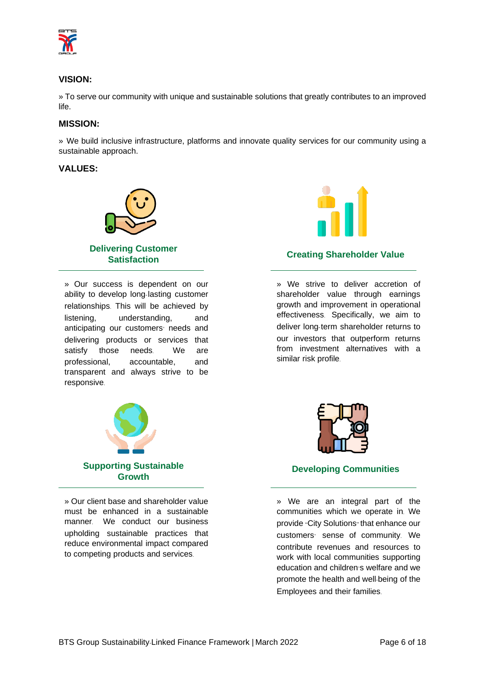

# <span id="page-5-0"></span>**VISION:**

» To serve our community with unique and sustainable solutions that greatly contributes to an improved life.

# <span id="page-5-1"></span>**MISSION:**

» We build inclusive infrastructure, platforms and innovate quality services for our community using a sustainable approach.

#### <span id="page-5-2"></span>**VALUES:**



» Our success is dependent on our ability to develop long-lasting customer relationships. This will be achieved by listening, understanding, and anticipating our customers' needs and delivering products or services that satisfy those needs. We are professional, accountable, and transparent and always strive to be responsive.



» Our client base and shareholder value must be enhanced in a sustainable manner. We conduct our business upholding sustainable practices that reduce environmental impact compared to competing products and services.



# **Creating Shareholder Value**

» We strive to deliver accretion of shareholder value through earnings growth and improvement in operational effectiveness. Specifically, we aim to deliver long-term shareholder returns to our investors that outperform returns from investment alternatives with a similar risk profile.



# **Developing Communities**

» We are an integral part of the communities which we operate in. We provide "City Solutions" that enhance our customers' sense of community. We contribute revenues and resources to work with local communities supporting education and children's welfare and we promote the health and well-being of the Employees and their families.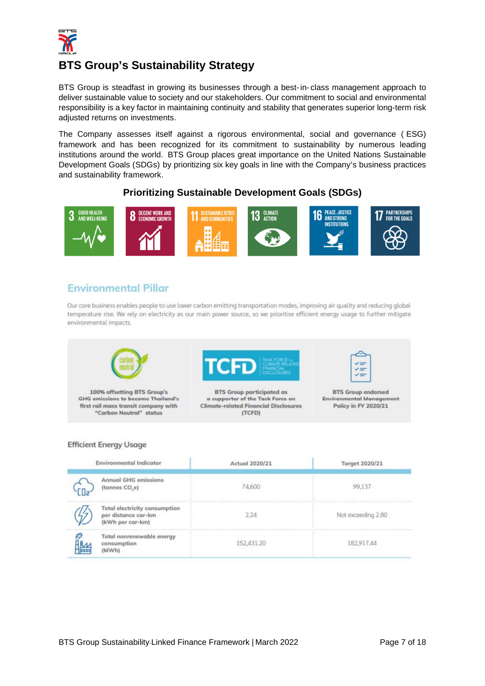

# <span id="page-6-0"></span>**BTS Group's Sustainability Strategy**

BTS Group is steadfast in growing its businesses through a best-in- class management approach to deliver sustainable value to society and our stakeholders. Our commitment to social and environmental responsibility is a key factor in maintaining continuity and stability that generates superior long-term risk adjusted returns on investments.

The Company assesses itself against a rigorous environmental, social and governance ( ESG) framework and has been recognized for its commitment to sustainability by numerous leading institutions around the world. BTS Group places great importance on the United Nations Sustainable Development Goals (SDGs) by prioritizing six key goals in line with the Company's business practices and sustainability framework.

# **Prioritizing Sustainable Development Goals (SDGs)**



# **Environmental Pillar**

Our core business enables people to use lower carbon emitting transportation modes, improving air quality and reducing global temperature rise. We rely on electricity as our main power source, so we prioritise efficient energy usage to further mitigate environmental impacts.



#### **Efficient Energy Usage**

| <b>Environmental Indicator</b> |                                                                                 | Actual 2020/21 | <b>Target 2020/21</b> |  |  |
|--------------------------------|---------------------------------------------------------------------------------|----------------|-----------------------|--|--|
|                                | <b>Annual GHG emissions</b><br>(tonnes CO <sub>,e)</sub>                        | 74,600         | 99,137                |  |  |
|                                | <b>Total electricity consumption</b><br>per distance car-km<br>(kWh per car-km) | 2.24           | Not exceeding 2.80    |  |  |
|                                | Total nonrenewable energy<br>consumption<br>(MWh)                               | 152,431.20     | 182,917.44            |  |  |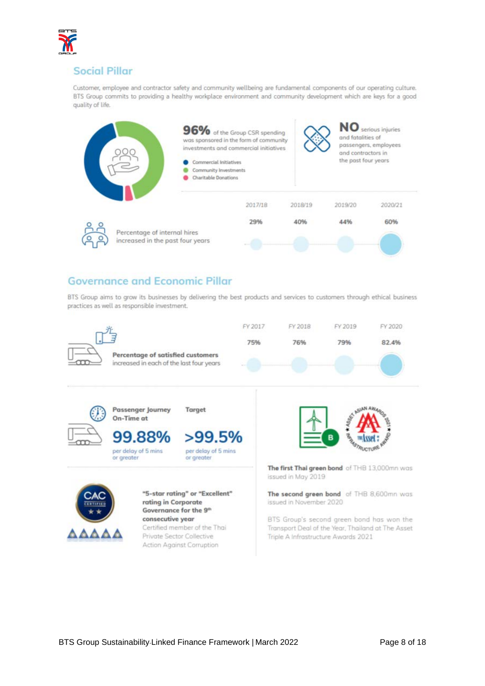

# **Social Pillar**

Customer, employee and contractor safety and community wellbeing are fundamental components of our operating culture. BTS Group commits to providing a healthy workplace environment and community development which are keys for a good quality of life.



# **Governance and Economic Pillar**

BTS Group aims to grow its businesses by delivering the best products and services to customers through ethical business practices as well as responsible investment.



BTS Group's second green bond has won the Transport Deal of the Year, Thailand at The Asset Triple A Infrastructure Awards 2021

Certified member of the Thai

Private Sector Collective

Action Against Corruption

ΔΔΔΔΔ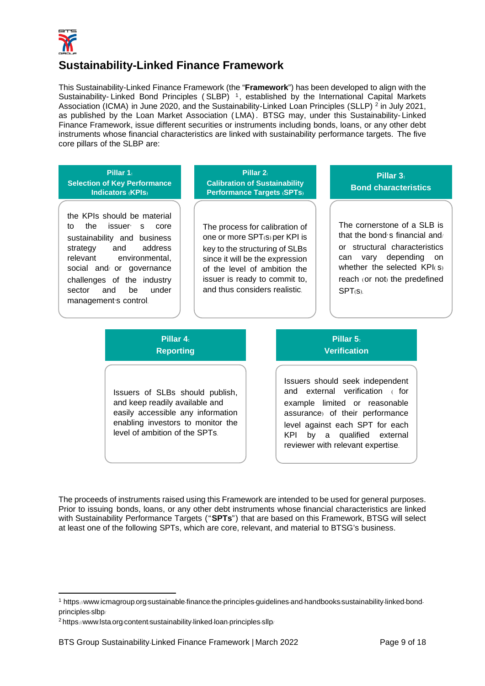

# <span id="page-8-0"></span>**Sustainability-Linked Finance Framework**

This Sustainability-Linked Finance Framework (the "**Framework**") has been developed to align with the Sustainability- Linked Bond Principles (SLBP)<sup>[1](#page-8-2)</sup>, established by the International Capital Markets Association (ICMA) in June [2](#page-8-3)020, and the Sustainability-Linked Loan Principles (SLLP) <sup>2</sup> in July 2021, as published by the Loan Market Association ( LMA). BTSG may, under this Sustainability- Linked Finance Framework, issue different securities or instruments including bonds, loans, or any other debt instruments whose financial characteristics are linked with sustainability performance targets. The five core pillars of the SLBP are:

# **Pillar 1: Selection of Key Performance Indicators (KPIs)**

the KPIs should be material to the issuer' s core sustainability and business strategy and address relevant environmental, social and/ or governance challenges of the industry sector and be under management's control.

**Pillar 2: Calibration of Sustainability Performance Targets (SPTs)**

The process for calibration of one or more SPT(s) per KPI is key to the structuring of SLBs since it will be the expression of the level of ambition the issuer is ready to commit to, and thus considers realistic.

**Pillar 3: Bond characteristics**

The cornerstone of a SLB is that the bond's financial and/ or structural characteristics can vary depending on whether the selected KPI(s) reach (or not) the predefined SPT(s).

# **Pillar 4: Reporting**

Issuers of SLBs should publish, and keep readily available and easily accessible any information enabling investors to monitor the level of ambition of the SPTs.

# **Pillar 5: Verification**

Issuers should seek independent and external verification ( for example limited or reasonable assurance) of their performance level against each SPT for each KPI by a qualified external reviewer with relevant expertise.

<span id="page-8-1"></span>The proceeds of instruments raised using this Framework are intended to be used for general purposes. Prior to issuing bonds, loans, or any other debt instruments whose financial characteristics are linked with Sustainability Performance Targets ("**SPTs**") that are based on this Framework, BTSG will select at least one of the following SPTs, which are core, relevant, and material to BTSG's business.

<span id="page-8-2"></span><sup>1</sup> https://www.icmagroup.org/sustainable-finance/the-principles-guidelines-and-handbooks/sustainability-linked-bondprinciples-slbp/

<span id="page-8-3"></span><sup>&</sup>lt;sup>2</sup> https://www.lsta.org/content/sustainability-linked-loan-principles-sllp/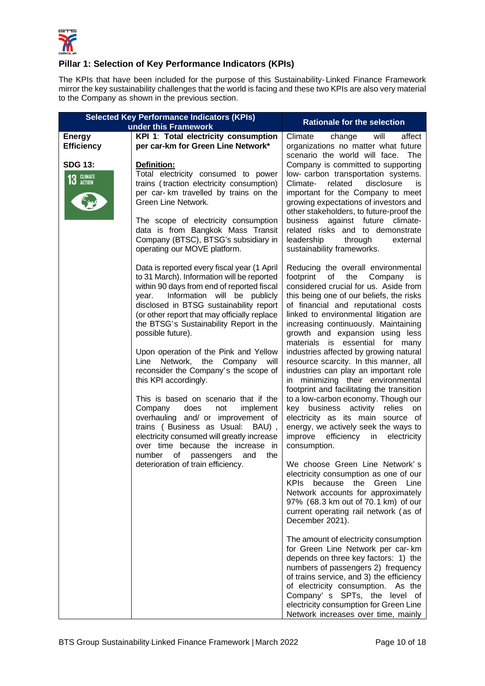

# **Pillar 1: Selection of Key Performance Indicators (KPIs)**

The KPIs that have been included for the purpose of this Sustainability- Linked Finance Framework mirror the key sustainability challenges that the world is facing and these two KPIs are also very material to the Company as shown in the previous section.

|                                    | <b>Selected Key Performance Indicators (KPIs)</b><br>under this Framework                                                                                                                                                                                                                                                                                                                                                                                                                                                                                                                                                                                                                                                                                                                                                     | <b>Rationale for the selection</b>                                                                                                                                                                                                                                                                                                                                                                                                                                                                                                                                                                                                                                                                                                                                                                                                                                                                                                                                                                                                                                                                                                                                                                                                                                                                                                                                                                    |
|------------------------------------|-------------------------------------------------------------------------------------------------------------------------------------------------------------------------------------------------------------------------------------------------------------------------------------------------------------------------------------------------------------------------------------------------------------------------------------------------------------------------------------------------------------------------------------------------------------------------------------------------------------------------------------------------------------------------------------------------------------------------------------------------------------------------------------------------------------------------------|-------------------------------------------------------------------------------------------------------------------------------------------------------------------------------------------------------------------------------------------------------------------------------------------------------------------------------------------------------------------------------------------------------------------------------------------------------------------------------------------------------------------------------------------------------------------------------------------------------------------------------------------------------------------------------------------------------------------------------------------------------------------------------------------------------------------------------------------------------------------------------------------------------------------------------------------------------------------------------------------------------------------------------------------------------------------------------------------------------------------------------------------------------------------------------------------------------------------------------------------------------------------------------------------------------------------------------------------------------------------------------------------------------|
| <b>Energy</b><br><b>Efficiency</b> | KPI 1: Total electricity consumption<br>per car-km for Green Line Network*                                                                                                                                                                                                                                                                                                                                                                                                                                                                                                                                                                                                                                                                                                                                                    | Climate<br>affect<br>change<br>will<br>organizations no matter what future<br>scenario the world will face. The                                                                                                                                                                                                                                                                                                                                                                                                                                                                                                                                                                                                                                                                                                                                                                                                                                                                                                                                                                                                                                                                                                                                                                                                                                                                                       |
| <b>SDG 13:</b><br>13 GLIMATE       | <b>Definition:</b><br>Total electricity consumed to power<br>trains (traction electricity consumption)<br>per car- km travelled by trains on the<br>Green Line Network.<br>The scope of electricity consumption<br>data is from Bangkok Mass Transit<br>Company (BTSC), BTSG's subsidiary in<br>operating our MOVE platform.                                                                                                                                                                                                                                                                                                                                                                                                                                                                                                  | Company is committed to supporting<br>low- carbon transportation systems.<br>related<br>disclosure<br>Climate-<br>is<br>important for the Company to meet<br>growing expectations of investors and<br>other stakeholders, to future-proof the<br>against future climate-<br>business<br>related risks and to demonstrate<br>leadership<br>through<br>external<br>sustainability frameworks.                                                                                                                                                                                                                                                                                                                                                                                                                                                                                                                                                                                                                                                                                                                                                                                                                                                                                                                                                                                                           |
|                                    | Data is reported every fiscal year (1 April<br>to 31 March). Information will be reported<br>within 90 days from end of reported fiscal<br>Information will be publicly<br>year.<br>disclosed in BTSG sustainability report<br>(or other report that may officially replace<br>the BTSG's Sustainability Report in the<br>possible future).<br>Upon operation of the Pink and Yellow<br>Line<br>Network, the Company<br>will<br>reconsider the Company's the scope of<br>this KPI accordingly.<br>This is based on scenario that if the<br>Company<br>does<br>not<br>implement<br>overhauling and/ or improvement of<br>trains (Business as Usual: BAU),<br>electricity consumed will greatly increase<br>over time because the increase in<br>number<br>of<br>passengers<br>and<br>the<br>deterioration of train efficiency. | Reducing the overall environmental<br>footprint of<br>the<br>Company<br><b>is</b><br>considered crucial for us. Aside from<br>this being one of our beliefs, the risks<br>of financial and reputational costs<br>linked to environmental litigation are<br>increasing continuously. Maintaining<br>growth and expansion using less<br>materials is essential for many<br>industries affected by growing natural<br>resource scarcity. In this manner, all<br>industries can play an important role<br>in minimizing their environmental<br>footprint and facilitating the transition<br>to a low-carbon economy. Though our<br>key business activity relies on<br>electricity as its main source of<br>energy, we actively seek the ways to<br>improve<br>efficiency<br>in electricity<br>consumption.<br>We choose Green Line Network's<br>electricity consumption as one of our<br>Line<br><b>KPIs</b><br>Green<br>because the<br>Network accounts for approximately<br>97% (68.3 km out of 70.1 km) of our<br>current operating rail network (as of<br>December 2021).<br>The amount of electricity consumption<br>for Green Line Network per car- km<br>depends on three key factors: 1) the<br>numbers of passengers 2) frequency<br>of trains service, and 3) the efficiency<br>of electricity consumption.<br>As the<br>Company's SPTs, the level of<br>electricity consumption for Green Line |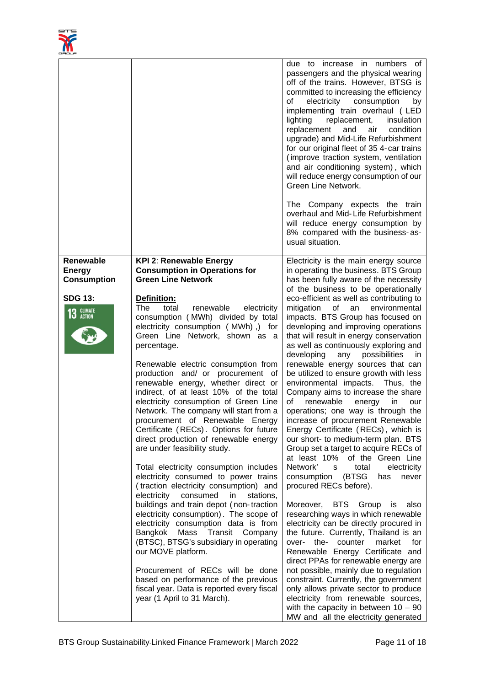

|                                                                     |                                                                                                                                                                                                                                                                                                                                                                                                                                                                                                                                                                                                                                                                                                                                                                                                                                                                                              | due to increase in numbers of<br>passengers and the physical wearing<br>off of the trains. However, BTSG is<br>committed to increasing the efficiency<br>of<br>electricity consumption<br>by<br>implementing train overhaul (LED<br>lighting<br>replacement,<br>insulation<br>replacement<br>and<br>condition<br>air<br>upgrade) and Mid-Life Refurbishment<br>for our original fleet of 35 4-car trains<br>(improve traction system, ventilation<br>and air conditioning system), which<br>will reduce energy consumption of our<br>Green Line Network.<br>The Company expects the train<br>overhaul and Mid-Life Refurbishment<br>will reduce energy consumption by<br>8% compared with the business-as-<br>usual situation.                                                                                                                                                                                                                                                                                           |
|---------------------------------------------------------------------|----------------------------------------------------------------------------------------------------------------------------------------------------------------------------------------------------------------------------------------------------------------------------------------------------------------------------------------------------------------------------------------------------------------------------------------------------------------------------------------------------------------------------------------------------------------------------------------------------------------------------------------------------------------------------------------------------------------------------------------------------------------------------------------------------------------------------------------------------------------------------------------------|--------------------------------------------------------------------------------------------------------------------------------------------------------------------------------------------------------------------------------------------------------------------------------------------------------------------------------------------------------------------------------------------------------------------------------------------------------------------------------------------------------------------------------------------------------------------------------------------------------------------------------------------------------------------------------------------------------------------------------------------------------------------------------------------------------------------------------------------------------------------------------------------------------------------------------------------------------------------------------------------------------------------------|
| <b>Energy</b><br><b>Consumption</b><br><b>SDG 13:</b><br>13 GLIMATE | <b>Consumption in Operations for</b><br><b>Green Line Network</b><br>Definition:<br><b>The</b><br>total<br>electricity<br>renewable<br>consumption (MWh) divided by total<br>electricity consumption (MWh),) for<br>Green Line Network, shown as a<br>percentage.<br>Renewable electric consumption from<br>production and/ or procurement of<br>renewable energy, whether direct or<br>indirect, of at least 10% of the total<br>electricity consumption of Green Line<br>Network. The company will start from a<br>procurement of Renewable Energy<br>Certificate (RECs). Options for future<br>direct production of renewable energy<br>are under feasibility study.<br>Total electricity consumption includes<br>electricity consumed to power trains<br>(traction electricity consumption) and<br>electricity<br>consumed<br>in<br>stations,<br>buildings and train depot (non-traction | in operating the business. BTS Group<br>has been fully aware of the necessity<br>of the business to be operationally<br>eco-efficient as well as contributing to<br>mitigation<br>an<br>environmental<br>of<br>impacts. BTS Group has focused on<br>developing and improving operations<br>that will result in energy conservation<br>as well as continuously exploring and<br>developing any possibilities<br>-in<br>renewable energy sources that can<br>be utilized to ensure growth with less<br>environmental impacts. Thus, the<br>Company aims to increase the share<br>of<br>renewable<br>energy<br>in<br>our<br>operations; one way is through the<br>increase of procurement Renewable<br>Energy Certificate (RECs), which is<br>our short- to medium-term plan. BTS<br>Group set a target to acquire RECs of<br>at least 10% of the Green Line<br>Network'<br>total<br>electricity<br>${\mathsf s}$<br>(BTSG<br>consumption<br>has<br>never<br>procured RECs before).<br>BTS Group<br>Moreover,<br>is<br>also |
|                                                                     | electricity consumption). The scope of<br>electricity consumption data is from<br>Transit<br>Bangkok Mass<br>Company<br>(BTSC), BTSG's subsidiary in operating<br>our MOVE platform.<br>Procurement of RECs will be done<br>based on performance of the previous<br>fiscal year. Data is reported every fiscal<br>year (1 April to 31 March).                                                                                                                                                                                                                                                                                                                                                                                                                                                                                                                                                | researching ways in which renewable<br>electricity can be directly procured in<br>the future. Currently, Thailand is an<br>over- the-<br>counter<br>market<br>for<br>Renewable Energy Certificate and<br>direct PPAs for renewable energy are<br>not possible, mainly due to regulation<br>constraint. Currently, the government<br>only allows private sector to produce<br>electricity from renewable sources,<br>with the capacity in between $10 - 90$<br>MW and all the electricity generated                                                                                                                                                                                                                                                                                                                                                                                                                                                                                                                       |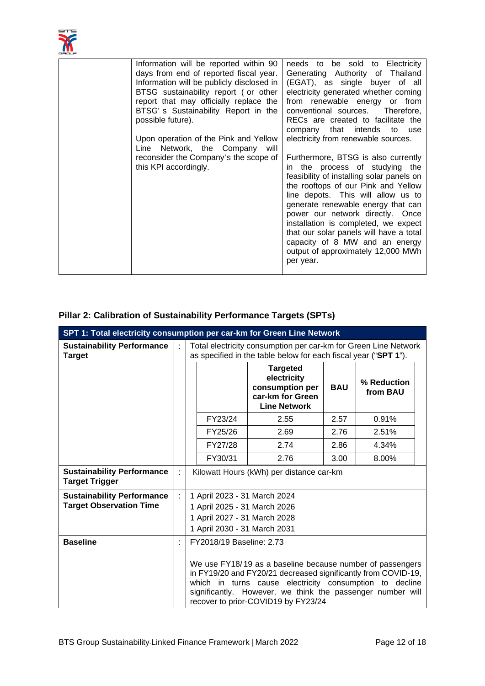

| Information will be reported within 90    | needs to be sold to Electricity           |
|-------------------------------------------|-------------------------------------------|
| days from end of reported fiscal year.    | Generating Authority of Thailand          |
| Information will be publicly disclosed in | (EGAT), as single buyer of all            |
| BTSG sustainability report (or other      | electricity generated whether coming      |
| report that may officially replace the    | from renewable energy or from             |
| BTSG's Sustainability Report in the       | conventional sources. Therefore,          |
| possible future).                         | RECs are created to facilitate the        |
|                                           | that intends<br>company<br>to use         |
| Upon operation of the Pink and Yellow     | electricity from renewable sources.       |
| Line Network, the Company will            |                                           |
|                                           |                                           |
| reconsider the Company's the scope of     | Furthermore, BTSG is also currently       |
| this KPI accordingly.                     | in the process of studying the            |
|                                           | feasibility of installing solar panels on |
|                                           | the rooftops of our Pink and Yellow       |
|                                           | line depots. This will allow us to        |
|                                           | generate renewable energy that can        |
|                                           | power our network directly. Once          |
|                                           | installation is completed, we expect      |
|                                           | that our solar panels will have a total   |
|                                           | capacity of 8 MW and an energy            |
|                                           | output of approximately 12,000 MWh        |
|                                           | per year.                                 |
|                                           |                                           |
|                                           |                                           |

# <span id="page-11-0"></span>**Pillar 2: Calibration of Sustainability Performance Targets (SPTs)**

| SPT 1: Total electricity consumption per car-km for Green Line Network |   |                                                                                                                                                                                                                                                                                                                        |         |                                                                                              |            |                         |  |
|------------------------------------------------------------------------|---|------------------------------------------------------------------------------------------------------------------------------------------------------------------------------------------------------------------------------------------------------------------------------------------------------------------------|---------|----------------------------------------------------------------------------------------------|------------|-------------------------|--|
| <b>Sustainability Performance</b><br><b>Target</b>                     | ÷ | Total electricity consumption per car-km for Green Line Network<br>as specified in the table below for each fiscal year ("SPT 1").                                                                                                                                                                                     |         |                                                                                              |            |                         |  |
|                                                                        |   |                                                                                                                                                                                                                                                                                                                        |         | <b>Targeted</b><br>electricity<br>consumption per<br>car-km for Green<br><b>Line Network</b> | <b>BAU</b> | % Reduction<br>from BAU |  |
|                                                                        |   |                                                                                                                                                                                                                                                                                                                        | FY23/24 | 2.55                                                                                         | 2.57       | 0.91%                   |  |
|                                                                        |   |                                                                                                                                                                                                                                                                                                                        | FY25/26 | 2.69                                                                                         | 2.76       | 2.51%                   |  |
|                                                                        |   |                                                                                                                                                                                                                                                                                                                        | FY27/28 | 2.74                                                                                         | 2.86       | 4.34%                   |  |
|                                                                        |   |                                                                                                                                                                                                                                                                                                                        | FY30/31 | 2.76                                                                                         | 3.00       | 8.00%                   |  |
| <b>Sustainability Performance</b><br><b>Target Trigger</b>             | ÷ | Kilowatt Hours (kWh) per distance car-km                                                                                                                                                                                                                                                                               |         |                                                                                              |            |                         |  |
| <b>Sustainability Performance</b><br><b>Target Observation Time</b>    | ÷ | 1 April 2023 - 31 March 2024<br>1 April 2025 - 31 March 2026<br>1 April 2027 - 31 March 2028<br>1 April 2030 - 31 March 2031                                                                                                                                                                                           |         |                                                                                              |            |                         |  |
| <b>Baseline</b>                                                        |   | FY2018/19 Baseline: 2.73<br>We use FY18/19 as a baseline because number of passengers<br>in FY19/20 and FY20/21 decreased significantly from COVID-19,<br>which in turns cause electricity consumption to decline<br>significantly. However, we think the passenger number will<br>recover to prior-COVID19 by FY23/24 |         |                                                                                              |            |                         |  |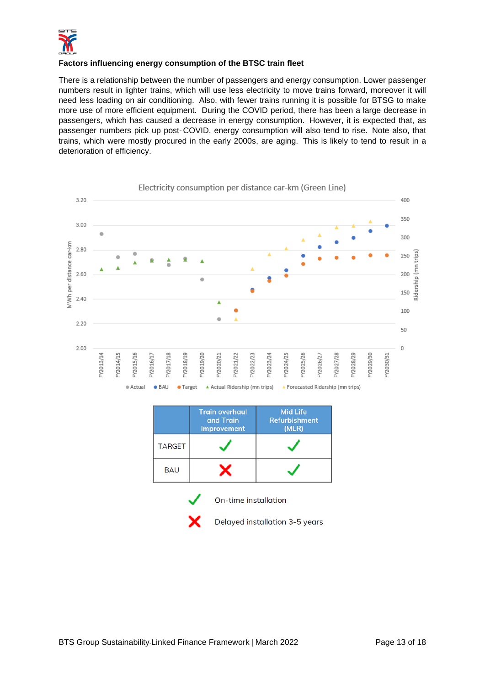

# **Factors influencing energy consumption of the BTSC train fleet**

There is a relationship between the number of passengers and energy consumption. Lower passenger numbers result in lighter trains, which will use less electricity to move trains forward, moreover it will need less loading on air conditioning. Also, with fewer trains running it is possible for BTSG to make more use of more efficient equipment. During the COVID period, there has been a large decrease in passengers, which has caused a decrease in energy consumption. However, it is expected that, as passenger numbers pick up post- COVID, energy consumption will also tend to rise. Note also, that trains, which were mostly procured in the early 2000s, are aging. This is likely to tend to result in a deterioration of efficiency.





On-time installation



Delayed installation 3-5 years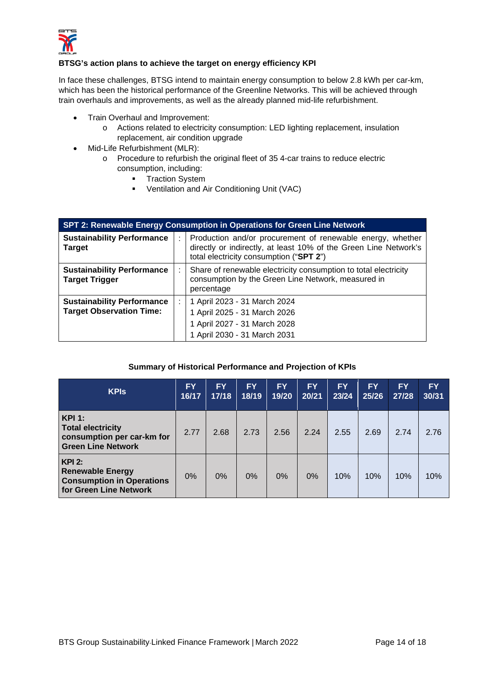

# **BTSG's action plans to achieve the target on energy efficiency KPI**

In face these challenges, BTSG intend to maintain energy consumption to below 2.8 kWh per car-km, which has been the historical performance of the Greenline Networks. This will be achieved through train overhauls and improvements, as well as the already planned mid-life refurbishment.

- Train Overhaul and Improvement:
	- o Actions related to electricity consumption: LED lighting replacement, insulation replacement, air condition upgrade
- Mid-Life Refurbishment (MLR):
	- o Procedure to refurbish the original fleet of 35 4-car trains to reduce electric consumption, including:
		- **-** Traction System
		- Ventilation and Air Conditioning Unit (VAC)

| SPT 2: Renewable Energy Consumption in Operations for Green Line Network |   |                                                                                                                                                                           |  |  |  |
|--------------------------------------------------------------------------|---|---------------------------------------------------------------------------------------------------------------------------------------------------------------------------|--|--|--|
| <b>Sustainability Performance</b><br><b>Target</b>                       | ÷ | Production and/or procurement of renewable energy, whether<br>directly or indirectly, at least 10% of the Green Line Network's<br>total electricity consumption ("SPT 2") |  |  |  |
| <b>Sustainability Performance</b><br><b>Target Trigger</b>               | ÷ | Share of renewable electricity consumption to total electricity<br>consumption by the Green Line Network, measured in<br>percentage                                       |  |  |  |
| <b>Sustainability Performance</b><br><b>Target Observation Time:</b>     | ÷ | 1 April 2023 - 31 March 2024<br>1 April 2025 - 31 March 2026<br>1 April 2027 - 31 March 2028<br>1 April 2030 - 31 March 2031                                              |  |  |  |

# <span id="page-13-0"></span>**Summary of Historical Performance and Projection of KPIs**

| <b>KPIS</b>                                                                                          | <b>FY</b><br>16/17 | <b>FY</b><br>17/18 | <b>FY</b><br>18/19 | <b>FY</b><br>19/20 | <b>FY</b><br>20/21 | <b>FY</b><br>23/24 | <b>FY</b><br>25/26 | <b>FY</b><br>27/28 | <b>FY</b><br>30/31 |
|------------------------------------------------------------------------------------------------------|--------------------|--------------------|--------------------|--------------------|--------------------|--------------------|--------------------|--------------------|--------------------|
| <b>KPI 1:</b><br><b>Total electricity</b><br>consumption per car-km for<br><b>Green Line Network</b> | 2.77               | 2.68               | 2.73               | 2.56               | 2.24               | 2.55               | 2.69               | 2.74               | 2.76               |
| $KPI$ 2:<br><b>Renewable Energy</b><br><b>Consumption in Operations</b><br>for Green Line Network    | $0\%$              | 0%                 | 0%                 | 0%                 | 0%                 | 10%                | 10%                | 10%                | 10%                |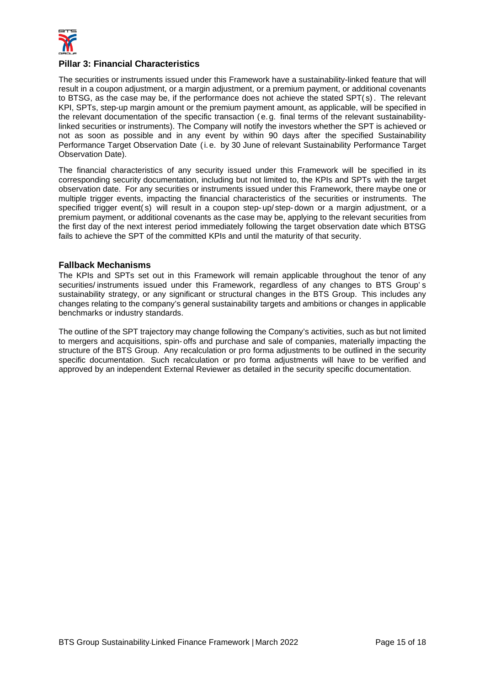

## **Pillar 3: Financial Characteristics**

The securities or instruments issued under this Framework have a sustainability-linked feature that will result in a coupon adjustment, or a margin adjustment, or a premium payment, or additional covenants to BTSG, as the case may be, if the performance does not achieve the stated SPT( s). The relevant KPI, SPTs, step-up margin amount or the premium payment amount, as applicable, will be specified in the relevant documentation of the specific transaction ( e. g. final terms of the relevant sustainabilitylinked securities or instruments). The Company will notify the investors whether the SPT is achieved or not as soon as possible and in any event by within 90 days after the specified Sustainability Performance Target Observation Date (i. e. by 30 June of relevant Sustainability Performance Target Observation Date).

The financial characteristics of any security issued under this Framework will be specified in its corresponding security documentation, including but not limited to, the KPIs and SPTs with the target observation date. For any securities or instruments issued under this Framework, there maybe one or multiple trigger events, impacting the financial characteristics of the securities or instruments. The specified trigger event(s) will result in a coupon step-up/ step-down or a margin adjustment, or a premium payment, or additional covenants as the case may be, applying to the relevant securities from the first day of the next interest period immediately following the target observation date which BTSG fails to achieve the SPT of the committed KPIs and until the maturity of that security.

### <span id="page-14-0"></span>**Fallback Mechanisms**

The KPIs and SPTs set out in this Framework will remain applicable throughout the tenor of any securities/ instruments issued under this Framework, regardless of any changes to BTS Group' s sustainability strategy, or any significant or structural changes in the BTS Group. This includes any changes relating to the company's general sustainability targets and ambitions or changes in applicable benchmarks or industry standards.

The outline of the SPT trajectory may change following the Company's activities, such as but not limited to mergers and acquisitions, spin- offs and purchase and sale of companies, materially impacting the structure of the BTS Group. Any recalculation or pro forma adjustments to be outlined in the security specific documentation. Such recalculation or pro forma adjustments will have to be verified and approved by an independent External Reviewer as detailed in the security specific documentation.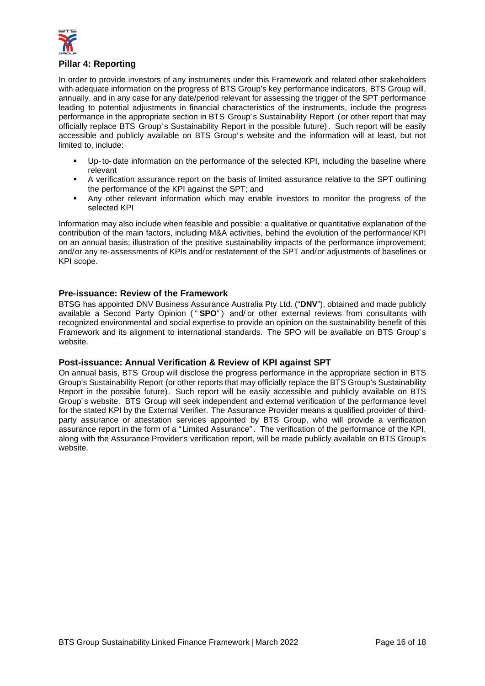

# <span id="page-15-0"></span>**Pillar 4: Reporting**

In order to provide investors of any instruments under this Framework and related other stakeholders with adequate information on the progress of BTS Group's key performance indicators, BTS Group will, annually, and in any case for any date/period relevant for assessing the trigger of the SPT performance leading to potential adjustments in financial characteristics of the instruments, include the progress performance in the appropriate section in BTS Group's Sustainability Report (or other report that may officially replace BTS Group's Sustainability Report in the possible future). Such report will be easily accessible and publicly available on BTS Group's website and the information will at least, but not limited to, include:

- Up-to- date information on the performance of the selected KPI, including the baseline where relevant
- A verification assurance report on the basis of limited assurance relative to the SPT outlining the performance of the KPI against the SPT; and
- Any other relevant information which may enable investors to monitor the progress of the selected KPI

Information may also include when feasible and possible: a qualitative or quantitative explanation of the contribution of the main factors, including M&A activities, behind the evolution of the performance/KPI on an annual basis; illustration of the positive sustainability impacts of the performance improvement; and/or any re-assessments of KPIs and/or restatement of the SPT and/or adjustments of baselines or KPI scope.

# <span id="page-15-1"></span>**Pre-issuance: Review of the Framework**

BTSG has appointed DNV Business Assurance Australia Pty Ltd. ("**DNV**"), obtained and made publicly available a Second Party Opinion ( " **SPO**") and/ or other external reviews from consultants with recognized environmental and social expertise to provide an opinion on the sustainability benefit of this Framework and its alignment to international standards. The SPO will be available on BTS Group' s website.

# <span id="page-15-2"></span>**Post-issuance: Annual Verification & Review of KPI against SPT**

On annual basis, BTS Group will disclose the progress performance in the appropriate section in BTS Group's Sustainability Report (or other reports that may officially replace the BTS Group's Sustainability Report in the possible future). Such report will be easily accessible and publicly available on BTS Group' s website. BTS Group will seek independent and external verification of the performance level for the stated KPI by the External Verifier. The Assurance Provider means a qualified provider of thirdparty assurance or attestation services appointed by BTS Group, who will provide a verification assurance report in the form of a " Limited Assurance". The verification of the performance of the KPI, along with the Assurance Provider's verification report, will be made publicly available on BTS Group's website.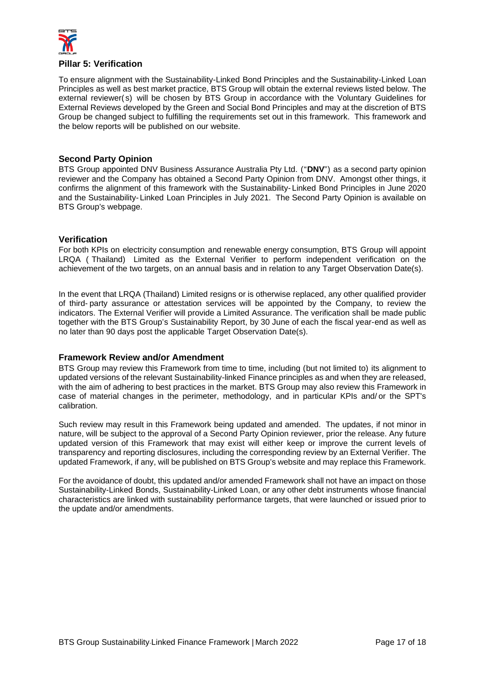

## <span id="page-16-0"></span>**Pillar 5: Verification**

To ensure alignment with the Sustainability-Linked Bond Principles and the Sustainability-Linked Loan Principles as well as best market practice, BTS Group will obtain the external reviews listed below. The external reviewer( s) will be chosen by BTS Group in accordance with the Voluntary Guidelines for External Reviews developed by the Green and Social Bond Principles and may at the discretion of BTS Group be changed subject to fulfilling the requirements set out in this framework. This framework and the below reports will be published on our website.

## <span id="page-16-1"></span>**Second Party Opinion**

BTS Group appointed DNV Business Assurance Australia Pty Ltd. ("**DNV**") as a second party opinion reviewer and the Company has obtained a Second Party Opinion from DNV. Amongst other things, it confirms the alignment of this framework with the Sustainability- Linked Bond Principles in June 2020 and the Sustainability- Linked Loan Principles in July 2021. The Second Party Opinion is available on BTS Group's webpage.

#### <span id="page-16-2"></span>**Verification**

For both KPIs on electricity consumption and renewable energy consumption, BTS Group will appoint LRQA ( Thailand) Limited as the External Verifier to perform independent verification on the achievement of the two targets, on an annual basis and in relation to any Target Observation Date(s).

In the event that LRQA (Thailand) Limited resigns or is otherwise replaced, any other qualified provider of third- party assurance or attestation services will be appointed by the Company, to review the indicators. The External Verifier will provide a Limited Assurance. The verification shall be made public together with the BTS Group's Sustainability Report, by 30 June of each the fiscal year-end as well as no later than 90 days post the applicable Target Observation Date(s).

#### <span id="page-16-3"></span>**Framework Review and/or Amendment**

BTS Group may review this Framework from time to time, including (but not limited to) its alignment to updated versions of the relevant Sustainability-linked Finance principles as and when they are released, with the aim of adhering to best practices in the market. BTS Group may also review this Framework in case of material changes in the perimeter, methodology, and in particular KPIs and/ or the SPT's calibration.

Such review may result in this Framework being updated and amended. The updates, if not minor in nature, will be subject to the approval of a Second Party Opinion reviewer, prior the release. Any future updated version of this Framework that may exist will either keep or improve the current levels of transparency and reporting disclosures, including the corresponding review by an External Verifier. The updated Framework, if any, will be published on BTS Group's website and may replace this Framework.

For the avoidance of doubt, this updated and/or amended Framework shall not have an impact on those Sustainability-Linked Bonds, Sustainability-Linked Loan, or any other debt instruments whose financial characteristics are linked with sustainability performance targets, that were launched or issued prior to the update and/or amendments.